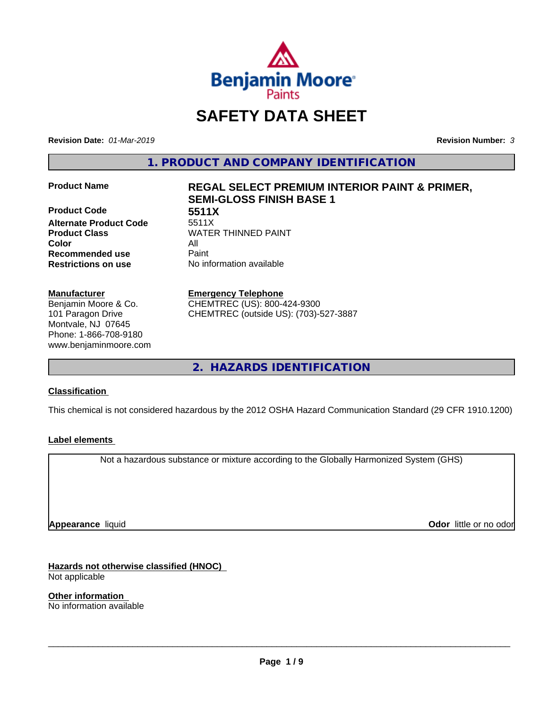

# **SAFETY DATA SHEET**

**Revision Date:** *01-Mar-2019* **Revision Number:** *3*

**1. PRODUCT AND COMPANY IDENTIFICATION**

**Product Code 5511X Alternate Product Code Color** All **Recommended use** Paint **Restrictions on use** No information available

#### **Manufacturer**

Benjamin Moore & Co. 101 Paragon Drive Montvale, NJ 07645 Phone: 1-866-708-9180 www.benjaminmoore.com

# **Product Name REGAL SELECT PREMIUM INTERIOR PAINT & PRIMER, SEMI-GLOSS FINISH BASE 1**

**Product Class WATER THINNED PAINT** 

#### **Emergency Telephone**

CHEMTREC (US): 800-424-9300 CHEMTREC (outside US): (703)-527-3887

**2. HAZARDS IDENTIFICATION**

#### **Classification**

This chemical is not considered hazardous by the 2012 OSHA Hazard Communication Standard (29 CFR 1910.1200)

#### **Label elements**

Not a hazardous substance or mixture according to the Globally Harmonized System (GHS)

**Appearance** liquid

**Odor** little or no odor

**Hazards not otherwise classified (HNOC)** Not applicable

**Other information** No information available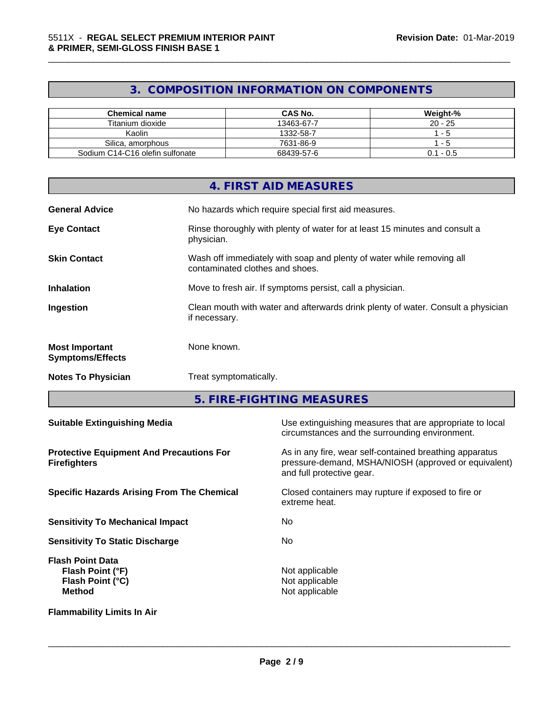# **3. COMPOSITION INFORMATION ON COMPONENTS**

\_\_\_\_\_\_\_\_\_\_\_\_\_\_\_\_\_\_\_\_\_\_\_\_\_\_\_\_\_\_\_\_\_\_\_\_\_\_\_\_\_\_\_\_\_\_\_\_\_\_\_\_\_\_\_\_\_\_\_\_\_\_\_\_\_\_\_\_\_\_\_\_\_\_\_\_\_\_\_\_\_\_\_\_\_\_\_\_\_\_\_\_\_

| Chemical name                   | <b>CAS No.</b> | Weight-%    |
|---------------------------------|----------------|-------------|
| Titanium dioxide                | 13463-67-7     | $20 - 25$   |
| Kaolin                          | 1332-58-7      | - 5         |
| Silica, amorphous               | 7631-86-9      | - 5         |
| Sodium C14-C16 olefin sulfonate | 68439-57-6     | $0.1 - 0.5$ |

|                                                  | 4. FIRST AID MEASURES                                                                                    |
|--------------------------------------------------|----------------------------------------------------------------------------------------------------------|
| <b>General Advice</b>                            | No hazards which require special first aid measures.                                                     |
| <b>Eye Contact</b>                               | Rinse thoroughly with plenty of water for at least 15 minutes and consult a<br>physician.                |
| <b>Skin Contact</b>                              | Wash off immediately with soap and plenty of water while removing all<br>contaminated clothes and shoes. |
| <b>Inhalation</b>                                | Move to fresh air. If symptoms persist, call a physician.                                                |
| Ingestion                                        | Clean mouth with water and afterwards drink plenty of water. Consult a physician<br>if necessary.        |
| <b>Most Important</b><br><b>Symptoms/Effects</b> | None known.                                                                                              |
| <b>Notes To Physician</b>                        | Treat symptomatically.                                                                                   |
|                                                  |                                                                                                          |

**5. FIRE-FIGHTING MEASURES**

| <b>Suitable Extinguishing Media</b>                                              | Use extinguishing measures that are appropriate to local<br>circumstances and the surrounding environment.                                   |
|----------------------------------------------------------------------------------|----------------------------------------------------------------------------------------------------------------------------------------------|
| <b>Protective Equipment And Precautions For</b><br><b>Firefighters</b>           | As in any fire, wear self-contained breathing apparatus<br>pressure-demand, MSHA/NIOSH (approved or equivalent)<br>and full protective gear. |
| <b>Specific Hazards Arising From The Chemical</b>                                | Closed containers may rupture if exposed to fire or<br>extreme heat.                                                                         |
| <b>Sensitivity To Mechanical Impact</b>                                          | No.                                                                                                                                          |
| <b>Sensitivity To Static Discharge</b>                                           | No.                                                                                                                                          |
| <b>Flash Point Data</b><br>Flash Point (°F)<br>Flash Point (°C)<br><b>Method</b> | Not applicable<br>Not applicable<br>Not applicable                                                                                           |
| <b>Flammability Limits In Air</b>                                                |                                                                                                                                              |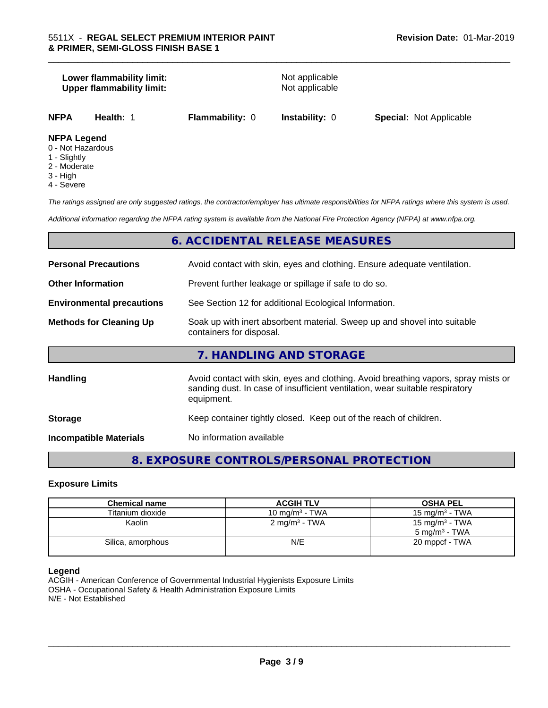# **Lower flammability limit:**<br> **Upper flammability limit:**<br>
Upper flammability limit:<br>
Not applicable **Upper flammability limit: NFPA Health:** 1 **Flammability:** 0 **Instability:** 0 **Special:** Not Applicable

#### **NFPA Legend**

- 0 Not Hazardous
- 1 Slightly
- 2 Moderate
- 3 High
- 4 Severe

*The ratings assigned are only suggested ratings, the contractor/employer has ultimate responsibilities for NFPA ratings where this system is used.*

\_\_\_\_\_\_\_\_\_\_\_\_\_\_\_\_\_\_\_\_\_\_\_\_\_\_\_\_\_\_\_\_\_\_\_\_\_\_\_\_\_\_\_\_\_\_\_\_\_\_\_\_\_\_\_\_\_\_\_\_\_\_\_\_\_\_\_\_\_\_\_\_\_\_\_\_\_\_\_\_\_\_\_\_\_\_\_\_\_\_\_\_\_

*Additional information regarding the NFPA rating system is available from the National Fire Protection Agency (NFPA) at www.nfpa.org.*

# **6. ACCIDENTAL RELEASE MEASURES**

| <b>Personal Precautions</b>      | Avoid contact with skin, eyes and clothing. Ensure adequate ventilation.                                                                                                         |
|----------------------------------|----------------------------------------------------------------------------------------------------------------------------------------------------------------------------------|
| <b>Other Information</b>         | Prevent further leakage or spillage if safe to do so.                                                                                                                            |
| <b>Environmental precautions</b> | See Section 12 for additional Ecological Information.                                                                                                                            |
| <b>Methods for Cleaning Up</b>   | Soak up with inert absorbent material. Sweep up and shovel into suitable<br>containers for disposal.                                                                             |
|                                  | 7. HANDLING AND STORAGE                                                                                                                                                          |
| Handling                         | Avoid contact with skin, eyes and clothing. Avoid breathing vapors, spray mists or<br>sanding dust. In case of insufficient ventilation, wear suitable respiratory<br>equipment. |
| <b>Storage</b>                   | Keep container tightly closed. Keep out of the reach of children.                                                                                                                |
| <b>Incompatible Materials</b>    | No information available                                                                                                                                                         |

# **8. EXPOSURE CONTROLS/PERSONAL PROTECTION**

#### **Exposure Limits**

| <b>Chemical name</b> | <b>ACGIH TLV</b>         | <b>OSHA PEL</b>                                        |
|----------------------|--------------------------|--------------------------------------------------------|
| Titanium dioxide     | 10 mg/m $3$ - TWA        | 15 mg/m $3$ - TWA                                      |
| Kaolin               | $2 \text{ mg/m}^3$ - TWA | 15 mg/m <sup>3</sup> - TWA<br>$5 \text{ ma/m}^3$ - TWA |
| Silica, amorphous    | N/E                      | 20 mppcf - TWA                                         |

#### **Legend**

ACGIH - American Conference of Governmental Industrial Hygienists Exposure Limits OSHA - Occupational Safety & Health Administration Exposure Limits N/E - Not Established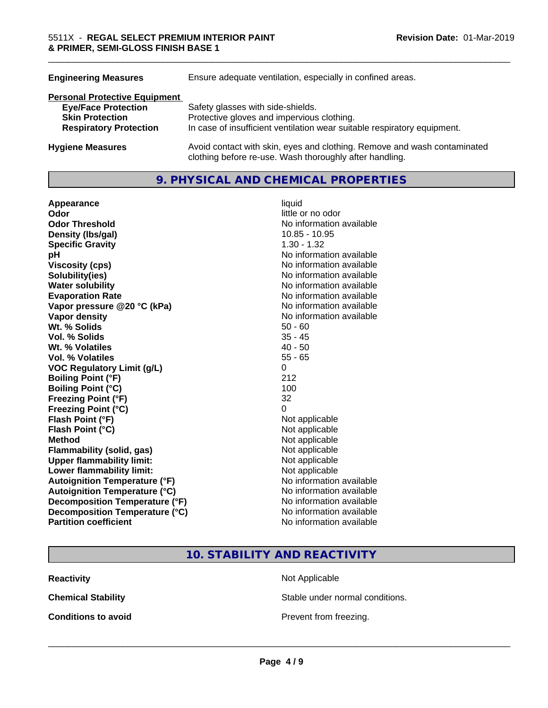| <b>Engineering Measures</b>          | Ensure adequate ventilation, especially in confined areas.                                                                          |
|--------------------------------------|-------------------------------------------------------------------------------------------------------------------------------------|
| <b>Personal Protective Equipment</b> |                                                                                                                                     |
| <b>Eye/Face Protection</b>           | Safety glasses with side-shields.                                                                                                   |
| <b>Skin Protection</b>               | Protective gloves and impervious clothing.                                                                                          |
| <b>Respiratory Protection</b>        | In case of insufficient ventilation wear suitable respiratory equipment.                                                            |
| <b>Hygiene Measures</b>              | Avoid contact with skin, eyes and clothing. Remove and wash contaminated<br>clothing before re-use. Wash thoroughly after handling. |

# **9. PHYSICAL AND CHEMICAL PROPERTIES**

| Appearance                           | liquid                   |
|--------------------------------------|--------------------------|
| Odor                                 | little or no odor        |
| <b>Odor Threshold</b>                | No information available |
| Density (Ibs/gal)                    | 10.85 - 10.95            |
| <b>Specific Gravity</b>              | $1.30 - 1.32$            |
| рH                                   | No information available |
| <b>Viscosity (cps)</b>               | No information available |
| Solubility(ies)                      | No information available |
| <b>Water solubility</b>              | No information available |
| <b>Evaporation Rate</b>              | No information available |
| Vapor pressure @20 °C (kPa)          | No information available |
| Vapor density                        | No information available |
| Wt. % Solids                         | $50 - 60$                |
| <b>Vol. % Solids</b>                 | $35 - 45$                |
| Wt. % Volatiles                      | $40 - 50$                |
| Vol. % Volatiles                     | $55 - 65$                |
| <b>VOC Regulatory Limit (g/L)</b>    | $\Omega$                 |
| <b>Boiling Point (°F)</b>            | 212                      |
| <b>Boiling Point (°C)</b>            | 100                      |
| <b>Freezing Point (°F)</b>           | 32                       |
| Freezing Point (°C)                  | 0                        |
| Flash Point (°F)                     | Not applicable           |
| Flash Point (°C)                     | Not applicable           |
| <b>Method</b>                        | Not applicable           |
| <b>Flammability (solid, gas)</b>     | Not applicable           |
| <b>Upper flammability limit:</b>     | Not applicable           |
| Lower flammability limit:            | Not applicable           |
| <b>Autoignition Temperature (°F)</b> | No information available |
| <b>Autoignition Temperature (°C)</b> | No information available |
| Decomposition Temperature (°F)       | No information available |
| Decomposition Temperature (°C)       | No information available |
| <b>Partition coefficient</b>         | No information available |

# little or no odor **No information available Density (lbs/gal)** 10.85 - 10.95 **No information available Viscosity (cps)** No information available **No information available No information available Evaporation Rate** No information available **No information available No information available**<br>50 - 60 **Not applicable Not applicable Not applicable Flammability (solid, gas)** Not applicable **Not applicable Not applicable No information available Autoignition Temperature (°C)** No information available **No information available No information available No information available**

\_\_\_\_\_\_\_\_\_\_\_\_\_\_\_\_\_\_\_\_\_\_\_\_\_\_\_\_\_\_\_\_\_\_\_\_\_\_\_\_\_\_\_\_\_\_\_\_\_\_\_\_\_\_\_\_\_\_\_\_\_\_\_\_\_\_\_\_\_\_\_\_\_\_\_\_\_\_\_\_\_\_\_\_\_\_\_\_\_\_\_\_\_

# **10. STABILITY AND REACTIVITY**

**Reactivity** Not Applicable

**Chemical Stability Stable under normal conditions.** 

**Conditions to avoid Conditions to avoid Prevent from freezing.**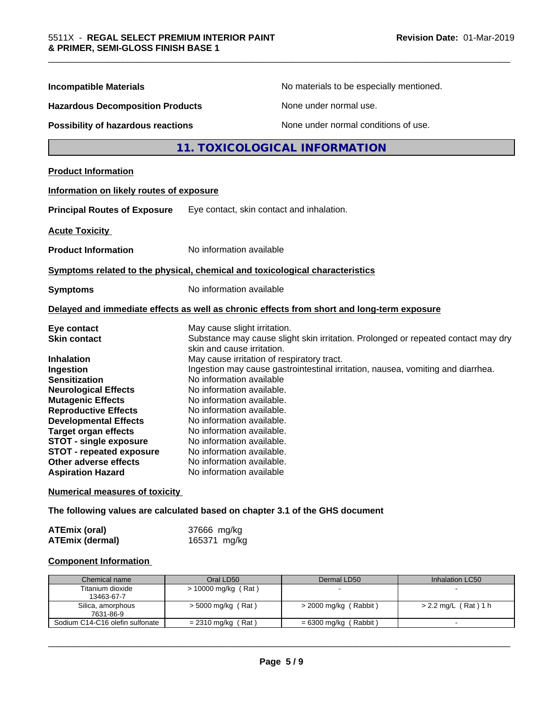| <b>Incompatible Materials</b>            |                                                                                                                 | No materials to be especially mentioned.<br>None under normal use. |  |
|------------------------------------------|-----------------------------------------------------------------------------------------------------------------|--------------------------------------------------------------------|--|
| <b>Hazardous Decomposition Products</b>  |                                                                                                                 |                                                                    |  |
| Possibility of hazardous reactions       | None under normal conditions of use.                                                                            |                                                                    |  |
|                                          | 11. TOXICOLOGICAL INFORMATION                                                                                   |                                                                    |  |
| <b>Product Information</b>               |                                                                                                                 |                                                                    |  |
| Information on likely routes of exposure |                                                                                                                 |                                                                    |  |
| <b>Principal Routes of Exposure</b>      | Eye contact, skin contact and inhalation.                                                                       |                                                                    |  |
| <b>Acute Toxicity</b>                    |                                                                                                                 |                                                                    |  |
| <b>Product Information</b>               | No information available                                                                                        |                                                                    |  |
|                                          | Symptoms related to the physical, chemical and toxicological characteristics                                    |                                                                    |  |
| <b>Symptoms</b>                          | No information available                                                                                        |                                                                    |  |
|                                          | Delayed and immediate effects as well as chronic effects from short and long-term exposure                      |                                                                    |  |
| Eye contact                              | May cause slight irritation.                                                                                    |                                                                    |  |
| <b>Skin contact</b>                      | Substance may cause slight skin irritation. Prolonged or repeated contact may dry<br>skin and cause irritation. |                                                                    |  |
| <b>Inhalation</b>                        | May cause irritation of respiratory tract.                                                                      |                                                                    |  |
| Ingestion                                | Ingestion may cause gastrointestinal irritation, nausea, vomiting and diarrhea.                                 |                                                                    |  |
| <b>Sensitization</b>                     | No information available                                                                                        |                                                                    |  |
| <b>Neurological Effects</b>              | No information available.                                                                                       |                                                                    |  |
| <b>Mutagenic Effects</b>                 | No information available.                                                                                       |                                                                    |  |
| <b>Reproductive Effects</b>              | No information available.                                                                                       |                                                                    |  |
| <b>Developmental Effects</b>             | No information available.                                                                                       |                                                                    |  |
| <b>Target organ effects</b>              | No information available.                                                                                       |                                                                    |  |
| <b>STOT - single exposure</b>            | No information available.                                                                                       |                                                                    |  |
| STOT - repeated exposure                 | No information available.                                                                                       |                                                                    |  |
| Other adverse effects                    | No information available.                                                                                       |                                                                    |  |
| <b>Aspiration Hazard</b>                 | No information available                                                                                        |                                                                    |  |
| <b>Numerical measures of toxicity</b>    |                                                                                                                 |                                                                    |  |

\_\_\_\_\_\_\_\_\_\_\_\_\_\_\_\_\_\_\_\_\_\_\_\_\_\_\_\_\_\_\_\_\_\_\_\_\_\_\_\_\_\_\_\_\_\_\_\_\_\_\_\_\_\_\_\_\_\_\_\_\_\_\_\_\_\_\_\_\_\_\_\_\_\_\_\_\_\_\_\_\_\_\_\_\_\_\_\_\_\_\_\_\_

**The following values are calculated based on chapter 3.1 of the GHS document**

| <b>ATEmix (oral)</b>   | 37666 mg/kg  |
|------------------------|--------------|
| <b>ATEmix (dermal)</b> | 165371 mg/kg |

### **Component Information**

| Chemical name                   | Oral LD50            | Dermal LD50             | Inhalation LC50      |
|---------------------------------|----------------------|-------------------------|----------------------|
| Titanium dioxide                | > 10000 mg/kg (Rat)  |                         |                      |
| 13463-67-7                      |                      |                         |                      |
| Silica, amorphous               | $>$ 5000 mg/kg (Rat) | $>$ 2000 mg/kg (Rabbit) | > 2.2 mg/L (Rat) 1 h |
| 7631-86-9                       |                      |                         |                      |
| Sodium C14-C16 olefin sulfonate | $= 2310$ mg/kg (Rat) | = 6300 mg/kg (Rabbit)   |                      |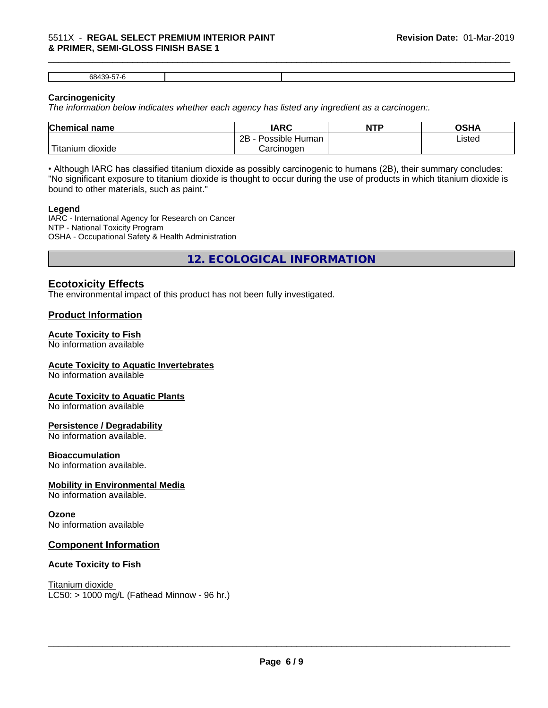#### 5511X - **REGAL SELECT PREMIUM INTERIOR PAINT & PRIMER, SEMI-GLOSS FINISH BASE 1**

| c |  |  |
|---|--|--|
|   |  |  |

\_\_\_\_\_\_\_\_\_\_\_\_\_\_\_\_\_\_\_\_\_\_\_\_\_\_\_\_\_\_\_\_\_\_\_\_\_\_\_\_\_\_\_\_\_\_\_\_\_\_\_\_\_\_\_\_\_\_\_\_\_\_\_\_\_\_\_\_\_\_\_\_\_\_\_\_\_\_\_\_\_\_\_\_\_\_\_\_\_\_\_\_\_

### **Carcinogenicity**

*The information below indicateswhether each agency has listed any ingredient as a carcinogen:.*

| <b>Chemical name</b>                      | <b>IARC</b>                       | <b>NTP</b> | OSHA   |  |
|-------------------------------------------|-----------------------------------|------------|--------|--|
|                                           | . .<br>2B<br>Possible<br>∖ Human∶ |            | Listed |  |
| $\mathbf{r}$<br>dioxide<br><b>itanium</b> | Carcinogen                        |            |        |  |

• Although IARC has classified titanium dioxide as possibly carcinogenic to humans (2B), their summary concludes: "No significant exposure to titanium dioxide is thought to occur during the use of products in which titanium dioxide is bound to other materials, such as paint."

#### **Legend**

IARC - International Agency for Research on Cancer NTP - National Toxicity Program OSHA - Occupational Safety & Health Administration

**12. ECOLOGICAL INFORMATION**

# **Ecotoxicity Effects**

The environmental impact of this product has not been fully investigated.

# **Product Information**

#### **Acute Toxicity to Fish**

No information available

#### **Acute Toxicity to Aquatic Invertebrates**

No information available

#### **Acute Toxicity to Aquatic Plants**

No information available

#### **Persistence / Degradability**

No information available.

#### **Bioaccumulation**

No information available.

#### **Mobility in Environmental Media**

No information available.

#### **Ozone**

No information available

#### **Component Information**

#### **Acute Toxicity to Fish**

Titanium dioxide  $LC50:$  > 1000 mg/L (Fathead Minnow - 96 hr.)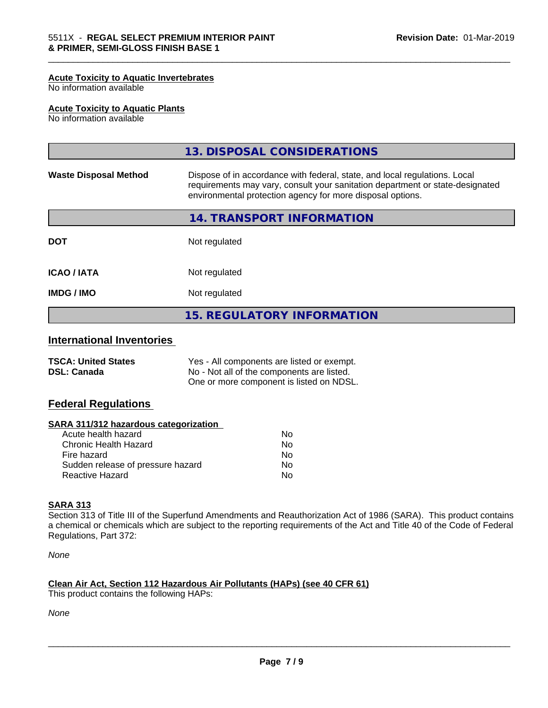#### **Acute Toxicity to Aquatic Invertebrates**

No information available

#### **Acute Toxicity to Aquatic Plants**

No information available

|                                                                                                                                                                                                                                                           | <b>15. REGULATORY INFORMATION</b> |  |
|-----------------------------------------------------------------------------------------------------------------------------------------------------------------------------------------------------------------------------------------------------------|-----------------------------------|--|
| Not regulated<br><b>IMDG/IMO</b>                                                                                                                                                                                                                          |                                   |  |
| <b>ICAO/IATA</b>                                                                                                                                                                                                                                          | Not regulated                     |  |
| <b>DOT</b>                                                                                                                                                                                                                                                | Not regulated                     |  |
|                                                                                                                                                                                                                                                           | 14. TRANSPORT INFORMATION         |  |
| Dispose of in accordance with federal, state, and local regulations. Local<br><b>Waste Disposal Method</b><br>requirements may vary, consult your sanitation department or state-designated<br>environmental protection agency for more disposal options. |                                   |  |
|                                                                                                                                                                                                                                                           | 13. DISPOSAL CONSIDERATIONS       |  |

\_\_\_\_\_\_\_\_\_\_\_\_\_\_\_\_\_\_\_\_\_\_\_\_\_\_\_\_\_\_\_\_\_\_\_\_\_\_\_\_\_\_\_\_\_\_\_\_\_\_\_\_\_\_\_\_\_\_\_\_\_\_\_\_\_\_\_\_\_\_\_\_\_\_\_\_\_\_\_\_\_\_\_\_\_\_\_\_\_\_\_\_\_

# **International Inventories**

| <b>TSCA: United States</b> | Yes - All components are listed or exempt. |
|----------------------------|--------------------------------------------|
| <b>DSL: Canada</b>         | No - Not all of the components are listed. |
|                            | One or more component is listed on NDSL.   |

#### **Federal Regulations**

#### **SARA 311/312 hazardous categorization**

| Acute health hazard               | Nο |
|-----------------------------------|----|
| Chronic Health Hazard             | Nο |
| Fire hazard                       | N٥ |
| Sudden release of pressure hazard | Nο |
| Reactive Hazard                   | N٥ |

### **SARA 313**

Section 313 of Title III of the Superfund Amendments and Reauthorization Act of 1986 (SARA). This product contains a chemical or chemicals which are subject to the reporting requirements of the Act and Title 40 of the Code of Federal Regulations, Part 372:

*None*

#### **Clean Air Act,Section 112 Hazardous Air Pollutants (HAPs) (see 40 CFR 61)**

This product contains the following HAPs:

*None*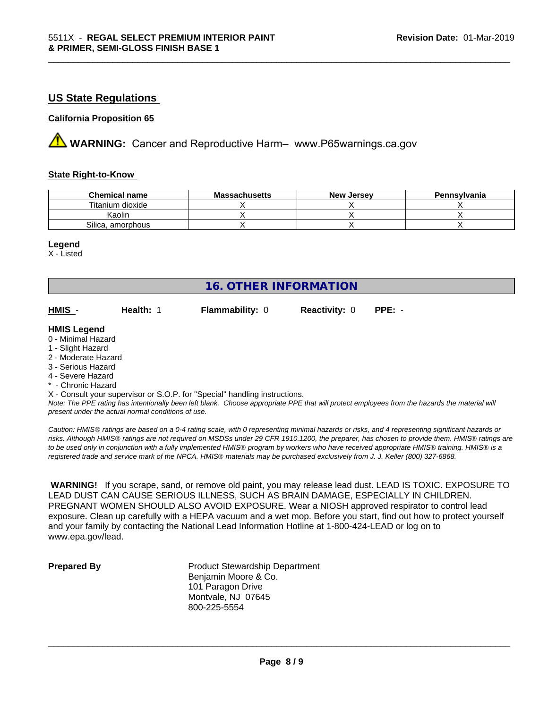# **US State Regulations**

#### **California Proposition 65**

**AVIMARNING:** Cancer and Reproductive Harm– www.P65warnings.ca.gov

#### **State Right-to-Know**

| <b>Chemical name</b> | <b>Massachusetts</b> | <b>New Jersey</b> | Pennsylvania |
|----------------------|----------------------|-------------------|--------------|
| Titanium dioxide     |                      |                   |              |
| Kaolin               |                      |                   |              |
| Silica, amorphous    |                      |                   |              |

\_\_\_\_\_\_\_\_\_\_\_\_\_\_\_\_\_\_\_\_\_\_\_\_\_\_\_\_\_\_\_\_\_\_\_\_\_\_\_\_\_\_\_\_\_\_\_\_\_\_\_\_\_\_\_\_\_\_\_\_\_\_\_\_\_\_\_\_\_\_\_\_\_\_\_\_\_\_\_\_\_\_\_\_\_\_\_\_\_\_\_\_\_

#### **Legend**

X - Listed

| <b>16. OTHER INFORMATION</b> |           |                                                                            |                      |                                                                                                                                               |  |  |
|------------------------------|-----------|----------------------------------------------------------------------------|----------------------|-----------------------------------------------------------------------------------------------------------------------------------------------|--|--|
| HMIS -                       | Health: 1 | <b>Flammability: 0</b>                                                     | <b>Reactivity: 0</b> | $PPE: -$                                                                                                                                      |  |  |
| <b>HMIS Legend</b>           |           |                                                                            |                      |                                                                                                                                               |  |  |
| 0 - Minimal Hazard           |           |                                                                            |                      |                                                                                                                                               |  |  |
| 1 - Slight Hazard            |           |                                                                            |                      |                                                                                                                                               |  |  |
| 2 - Moderate Hazard          |           |                                                                            |                      |                                                                                                                                               |  |  |
| 3 - Serious Hazard           |           |                                                                            |                      |                                                                                                                                               |  |  |
| 4 - Severe Hazard            |           |                                                                            |                      |                                                                                                                                               |  |  |
| * - Chronic Hazard           |           |                                                                            |                      |                                                                                                                                               |  |  |
|                              |           | X - Consult your supervisor or S.O.P. for "Special" handling instructions. |                      |                                                                                                                                               |  |  |
|                              |           |                                                                            |                      | Note: The DDE rating has intentionally heap loft blank. Choose appropriate DDE that will protect employees from the bezarde the motorial will |  |  |

*Note: The PPE rating has intentionally been left blank. Choose appropriate PPE that will protect employees from the hazards the material will present under the actual normal conditions of use.*

*Caution: HMISÒ ratings are based on a 0-4 rating scale, with 0 representing minimal hazards or risks, and 4 representing significant hazards or risks. Although HMISÒ ratings are not required on MSDSs under 29 CFR 1910.1200, the preparer, has chosen to provide them. HMISÒ ratings are to be used only in conjunction with a fully implemented HMISÒ program by workers who have received appropriate HMISÒ training. HMISÒ is a registered trade and service mark of the NPCA. HMISÒ materials may be purchased exclusively from J. J. Keller (800) 327-6868.*

 **WARNING!** If you scrape, sand, or remove old paint, you may release lead dust. LEAD IS TOXIC. EXPOSURE TO LEAD DUST CAN CAUSE SERIOUS ILLNESS, SUCH AS BRAIN DAMAGE, ESPECIALLY IN CHILDREN. PREGNANT WOMEN SHOULD ALSO AVOID EXPOSURE.Wear a NIOSH approved respirator to control lead exposure. Clean up carefully with a HEPA vacuum and a wet mop. Before you start, find out how to protect yourself and your family by contacting the National Lead Information Hotline at 1-800-424-LEAD or log on to www.epa.gov/lead.

**Prepared By** Product Stewardship Department Benjamin Moore & Co. 101 Paragon Drive Montvale, NJ 07645 800-225-5554